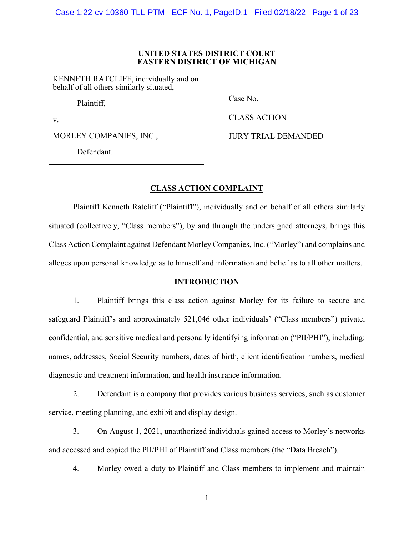#### **UNITED STATES DISTRICT COURT EASTERN DISTRICT OF MICHIGAN**

KENNETH RATCLIFF, individually and on behalf of all others similarly situated,

Plaintiff,

v.

MORLEY COMPANIES, INC.,

Defendant.

Case No.

CLASS ACTION

JURY TRIAL DEMANDED

# **CLASS ACTION COMPLAINT**

Plaintiff Kenneth Ratcliff ("Plaintiff"), individually and on behalf of all others similarly situated (collectively, "Class members"), by and through the undersigned attorneys, brings this Class Action Complaint against Defendant Morley Companies, Inc. ("Morley") and complains and alleges upon personal knowledge as to himself and information and belief as to all other matters.

# **INTRODUCTION**

1. Plaintiff brings this class action against Morley for its failure to secure and safeguard Plaintiff's and approximately 521,046 other individuals' ("Class members") private, confidential, and sensitive medical and personally identifying information ("PII/PHI"), including: names, addresses, Social Security numbers, dates of birth, client identification numbers, medical diagnostic and treatment information, and health insurance information.

2. Defendant is a company that provides various business services, such as customer service, meeting planning, and exhibit and display design.

3. On August 1, 2021, unauthorized individuals gained access to Morley's networks and accessed and copied the PII/PHI of Plaintiff and Class members (the "Data Breach").

4. Morley owed a duty to Plaintiff and Class members to implement and maintain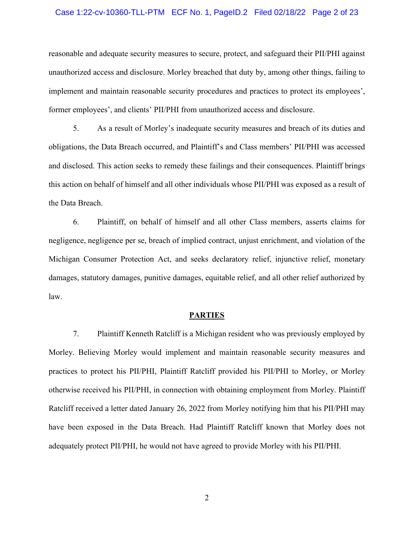#### Case 1:22-cv-10360-TLL-PTM ECF No. 1, PageID.2 Filed 02/18/22 Page 2 of 23

reasonable and adequate security measures to secure, protect, and safeguard their PII/PHI against unauthorized access and disclosure. Morley breached that duty by, among other things, failing to implement and maintain reasonable security procedures and practices to protect its employees', former employees', and clients' PII/PHI from unauthorized access and disclosure.

5. As a result of Morley's inadequate security measures and breach of its duties and obligations, the Data Breach occurred, and Plaintiff's and Class members' PII/PHI was accessed and disclosed. This action seeks to remedy these failings and their consequences. Plaintiff brings this action on behalf of himself and all other individuals whose PII/PHI was exposed as a result of the Data Breach.

6. Plaintiff, on behalf of himself and all other Class members, asserts claims for negligence, negligence per se, breach of implied contract, unjust enrichment, and violation of the Michigan Consumer Protection Act, and seeks declaratory relief, injunctive relief, monetary damages, statutory damages, punitive damages, equitable relief, and all other relief authorized by law.

#### **PARTIES**

7. Plaintiff Kenneth Ratcliff is a Michigan resident who was previously employed by Morley. Believing Morley would implement and maintain reasonable security measures and practices to protect his PII/PHI, Plaintiff Ratcliff provided his PII/PHI to Morley, or Morley otherwise received his PII/PHI, in connection with obtaining employment from Morley. Plaintiff Ratcliff received a letter dated January 26, 2022 from Morley notifying him that his PII/PHI may have been exposed in the Data Breach. Had Plaintiff Ratcliff known that Morley does not adequately protect PII/PHI, he would not have agreed to provide Morley with his PII/PHI.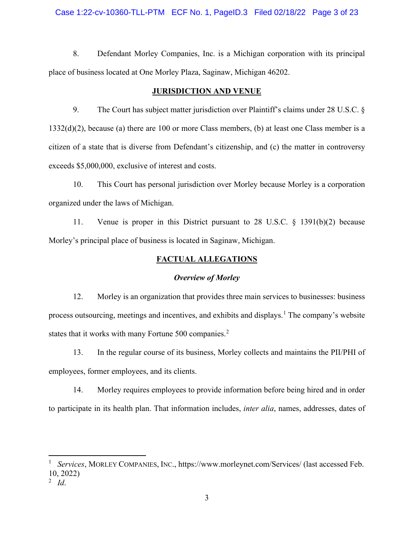## Case 1:22-cv-10360-TLL-PTM ECF No. 1, PageID.3 Filed 02/18/22 Page 3 of 23

8. Defendant Morley Companies, Inc. is a Michigan corporation with its principal place of business located at One Morley Plaza, Saginaw, Michigan 46202.

## **JURISDICTION AND VENUE**

9. The Court has subject matter jurisdiction over Plaintiff's claims under 28 U.S.C. § 1332(d)(2), because (a) there are 100 or more Class members, (b) at least one Class member is a citizen of a state that is diverse from Defendant's citizenship, and (c) the matter in controversy exceeds \$5,000,000, exclusive of interest and costs.

10. This Court has personal jurisdiction over Morley because Morley is a corporation organized under the laws of Michigan.

11. Venue is proper in this District pursuant to 28 U.S.C. § 1391(b)(2) because Morley's principal place of business is located in Saginaw, Michigan.

# **FACTUAL ALLEGATIONS**

# *Overview of Morley*

12. Morley is an organization that provides three main services to businesses: business process outsourcing, meetings and incentives, and exhibits and displays.<sup>[1](#page-2-0)</sup> The company's website states that it works with many Fortune 500 companies.<sup>[2](#page-2-1)</sup>

13. In the regular course of its business, Morley collects and maintains the PII/PHI of employees, former employees, and its clients.

14. Morley requires employees to provide information before being hired and in order to participate in its health plan. That information includes, *inter alia*, names, addresses, dates of

<span id="page-2-0"></span><sup>1</sup> *Services*, MORLEY COMPANIES, INC., https://www.morleynet.com/Services/ (last accessed Feb. 10, 2022)

<span id="page-2-1"></span><sup>2</sup> *Id*.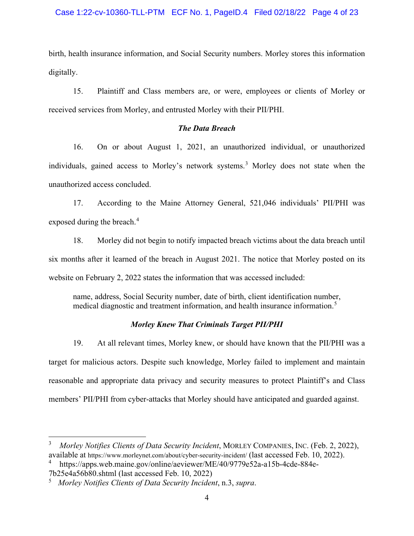# Case 1:22-cv-10360-TLL-PTM ECF No. 1, PageID.4 Filed 02/18/22 Page 4 of 23

birth, health insurance information, and Social Security numbers. Morley stores this information digitally.

15. Plaintiff and Class members are, or were, employees or clients of Morley or received services from Morley, and entrusted Morley with their PII/PHI.

# *The Data Breach*

16. On or about August 1, 2021, an unauthorized individual, or unauthorized individuals, gained access to Morley's network systems. [3](#page-3-0) Morley does not state when the unauthorized access concluded.

17. According to the Maine Attorney General, 521,046 individuals' PII/PHI was exposed during the breach.<sup>[4](#page-3-1)</sup>

18. Morley did not begin to notify impacted breach victims about the data breach until six months after it learned of the breach in August 2021. The notice that Morley posted on its website on February 2, 2022 states the information that was accessed included:

name, address, Social Security number, date of birth, client identification number, medical diagnostic and treatment information, and health insurance information. [5](#page-3-2)

# *Morley Knew That Criminals Target PII/PHI*

19. At all relevant times, Morley knew, or should have known that the PII/PHI was a target for malicious actors. Despite such knowledge, Morley failed to implement and maintain reasonable and appropriate data privacy and security measures to protect Plaintiff's and Class members' PII/PHI from cyber-attacks that Morley should have anticipated and guarded against.

<span id="page-3-0"></span><sup>3</sup> *Morley Notifies Clients of Data Security Incident*, MORLEY COMPANIES, INC. (Feb. 2, 2022), available at https://www.morleynet.com/about/cyber-security-incident/ (last accessed Feb. 10, 2022).

<span id="page-3-1"></span><sup>4</sup> https://apps.web.maine.gov/online/aeviewer/ME/40/9779e52a-a15b-4cde-884e-7b25e4a56b80.shtml (last accessed Feb. 10, 2022)

<span id="page-3-2"></span><sup>5</sup> *Morley Notifies Clients of Data Security Incident*, n.3, *supra*.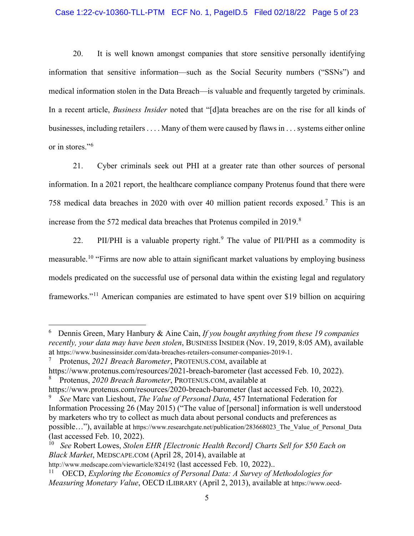## Case 1:22-cv-10360-TLL-PTM ECF No. 1, PageID.5 Filed 02/18/22 Page 5 of 23

20. It is well known amongst companies that store sensitive personally identifying information that sensitive information—such as the Social Security numbers ("SSNs") and medical information stolen in the Data Breach—is valuable and frequently targeted by criminals. In a recent article, *Business Insider* noted that "[d]ata breaches are on the rise for all kinds of businesses, including retailers . . . . Many of them were caused by flaws in . . . systems either online or in stores."<sup>[6](#page-4-0)</sup>

21. Cyber criminals seek out PHI at a greater rate than other sources of personal information. In a 2021 report, the healthcare compliance company Protenus found that there were 758 medical data breaches in 2020 with over 40 million patient records exposed.[7](#page-4-1) This is an increase from the 572 medical data breaches that Protenus compiled in 2019.[8](#page-4-2)

22. PII/PHI is a valuable property right.<sup>[9](#page-4-3)</sup> The value of PII/PHI as a commodity is measurable.<sup>[10](#page-4-4)</sup> "Firms are now able to attain significant market valuations by employing business models predicated on the successful use of personal data within the existing legal and regulatory frameworks."[11](#page-4-5) American companies are estimated to have spent over \$19 billion on acquiring

<span id="page-4-0"></span><sup>6</sup> Dennis Green, Mary Hanbury & Aine Cain, *If you bought anything from these 19 companies recently, your data may have been stolen*, BUSINESS INSIDER (Nov. 19, 2019, 8:05 AM), available at https://www.businessinsider.com/data-breaches-retailers-consumer-companies-2019-1.

<span id="page-4-1"></span><sup>7</sup> Protenus, *2021 Breach Barometer*, PROTENUS.COM, available at

<span id="page-4-2"></span>https://www.protenus.com/resources/2021-breach-barometer (last accessed Feb. 10, 2022). 8 Protenus, *2020 Breach Barometer*, PROTENUS.COM, available at

https://www.protenus.com/resources/2020-breach-barometer (last accessed Feb. 10, 2022). 9 *See* Marc van Lieshout, *The Value of Personal Data*, 457 International Federation for

<span id="page-4-3"></span>Information Processing 26 (May 2015) ("The value of [personal] information is well understood by marketers who try to collect as much data about personal conducts and preferences as possible…"), available at https://www.researchgate.net/publication/283668023\_The\_Value\_of\_Personal\_Data (last accessed Feb. 10, 2022).

<span id="page-4-4"></span><sup>10</sup> *See* Robert Lowes, *Stolen EHR [Electronic Health Record] Charts Sell for \$50 Each on Black Market*, MEDSCAPE.COM (April 28, 2014), available at

http://www.medscape.com/viewarticle/824192 (last accessed Feb. 10, 2022)...

<span id="page-4-5"></span><sup>11</sup> OECD, *Exploring the Economics of Personal Data: A Survey of Methodologies for Measuring Monetary Value*, OECD ILIBRARY (April 2, 2013), available at https://www.oecd-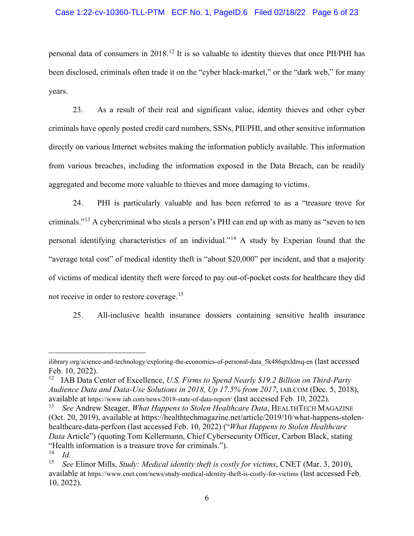# Case 1:22-cv-10360-TLL-PTM ECF No. 1, PageID.6 Filed 02/18/22 Page 6 of 23

personal data of consumers in 2018.[12](#page-5-0) It is so valuable to identity thieves that once PII/PHI has been disclosed, criminals often trade it on the "cyber black-market," or the "dark web," for many years.

23. As a result of their real and significant value, identity thieves and other cyber criminals have openly posted credit card numbers, SSNs, PII/PHI, and other sensitive information directly on various Internet websites making the information publicly available. This information from various breaches, including the information exposed in the Data Breach, can be readily aggregated and become more valuable to thieves and more damaging to victims.

24. PHI is particularly valuable and has been referred to as a "treasure trove for criminals."[13](#page-5-1) A cybercriminal who steals a person's PHI can end up with as many as "seven to ten personal identifying characteristics of an individual."[14](#page-5-2) A study by Experian found that the "average total cost" of medical identity theft is "about \$20,000" per incident, and that a majority of victims of medical identity theft were forced to pay out-of-pocket costs for healthcare they did not receive in order to restore coverage.<sup>[15](#page-5-3)</sup>

25. All-inclusive health insurance dossiers containing sensitive health insurance

ilibrary.org/science-and-technology/exploring-the-economics-of-personal-data\_5k486qtxldmq-en (last accessed Feb. 10, 2022).

<span id="page-5-0"></span><sup>&</sup>lt;sup>12</sup> IAB Data Center of Excellence, *U.S. Firms to Spend Nearly \$19.2 Billion on Third-Party Audience Data and Data-Use Solutions in 2018, Up 17.5% from 2017*, IAB.COM (Dec. 5, 2018), available at https://www.iab.com/news/2018-state-of-data-report/ (last accessed Feb. 10, 2022).

<span id="page-5-1"></span><sup>13</sup> *See* Andrew Steager, *What Happens to Stolen Healthcare Data*, HEALTHTECH MAGAZINE (Oct. 20, 2019), available at https://healthtechmagazine.net/article/2019/10/what-happens-stolenhealthcare-data-perfcon (last accessed Feb. 10, 2022) ("*What Happens to Stolen Healthcare Data* Article") (quoting Tom Kellermann, Chief Cybersecurity Officer, Carbon Black, stating "Health information is a treasure trove for criminals."). 14 *Id.* 

<span id="page-5-3"></span><span id="page-5-2"></span><sup>15</sup> *See* Elinor Mills, *Study: Medical identity theft is costly for victims*, CNET (Mar. 3, 2010), available at https://www.cnet.com/news/study-medical-identity-theft-is-costly-for-victims (last accessed Feb. 10, 2022).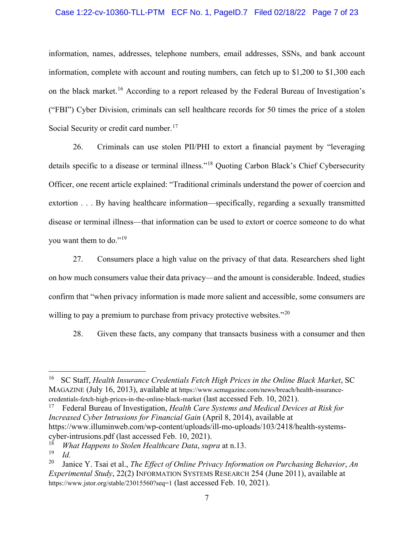## Case 1:22-cv-10360-TLL-PTM ECF No. 1, PageID.7 Filed 02/18/22 Page 7 of 23

information, names, addresses, telephone numbers, email addresses, SSNs, and bank account information, complete with account and routing numbers, can fetch up to \$1,200 to \$1,300 each on the black market.<sup>[16](#page-6-0)</sup> According to a report released by the Federal Bureau of Investigation's ("FBI") Cyber Division, criminals can sell healthcare records for 50 times the price of a stolen Social Security or credit card number.<sup>[17](#page-6-1)</sup>

26. Criminals can use stolen PII/PHI to extort a financial payment by "leveraging details specific to a disease or terminal illness."[18](#page-6-2) Quoting Carbon Black's Chief Cybersecurity Officer, one recent article explained: "Traditional criminals understand the power of coercion and extortion . . . By having healthcare information—specifically, regarding a sexually transmitted disease or terminal illness—that information can be used to extort or coerce someone to do what you want them to do."[19](#page-6-3)

27. Consumers place a high value on the privacy of that data. Researchers shed light on how much consumers value their data privacy—and the amount is considerable. Indeed, studies confirm that "when privacy information is made more salient and accessible, some consumers are willing to pay a premium to purchase from privacy protective websites."<sup>[20](#page-6-4)</sup>

28. Given these facts, any company that transacts business with a consumer and then

<span id="page-6-0"></span><sup>&</sup>lt;sup>16</sup> SC Staff, *Health Insurance Credentials Fetch High Prices in the Online Black Market*, SC MAGAZINE (July 16, 2013), available at https://www.scmagazine.com/news/breach/health-insurancecredentials-fetch-high-prices-in-the-online-black-market (last accessed Feb. 10, 2021).

<span id="page-6-1"></span><sup>17</sup> Federal Bureau of Investigation, *Health Care Systems and Medical Devices at Risk for Increased Cyber Intrusions for Financial Gain* (April 8, 2014), available at https://www.illuminweb.com/wp-content/uploads/ill-mo-uploads/103/2418/health-systemscyber-intrusions.pdf (last accessed Feb. 10, 2021).

<sup>18</sup> *What Happens to Stolen Healthcare Data*, *supra* at n.13.

<span id="page-6-3"></span><span id="page-6-2"></span><sup>19</sup> *Id.* 

<span id="page-6-4"></span><sup>20</sup> Janice Y. Tsai et al., *The Effect of Online Privacy Information on Purchasing Behavior*, *An Experimental Study*, 22(2) INFORMATION SYSTEMS RESEARCH 254 (June 2011), available at https://www.jstor.org/stable/23015560?seq=1 (last accessed Feb. 10, 2021).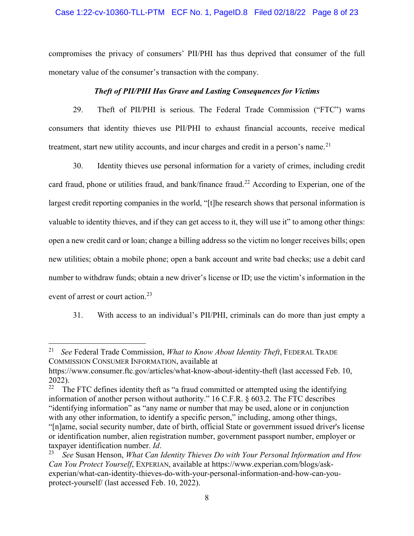# Case 1:22-cv-10360-TLL-PTM ECF No. 1, PageID.8 Filed 02/18/22 Page 8 of 23

compromises the privacy of consumers' PII/PHI has thus deprived that consumer of the full monetary value of the consumer's transaction with the company.

## *Theft of PII/PHI Has Grave and Lasting Consequences for Victims*

29. Theft of PII/PHI is serious. The Federal Trade Commission ("FTC") warns consumers that identity thieves use PII/PHI to exhaust financial accounts, receive medical treatment, start new utility accounts, and incur charges and credit in a person's name.<sup>[21](#page-7-0)</sup>

30. Identity thieves use personal information for a variety of crimes, including credit card fraud, phone or utilities fraud, and bank/finance fraud.<sup>[22](#page-7-1)</sup> According to Experian, one of the largest credit reporting companies in the world, "[t]he research shows that personal information is valuable to identity thieves, and if they can get access to it, they will use it" to among other things: open a new credit card or loan; change a billing address so the victim no longer receives bills; open new utilities; obtain a mobile phone; open a bank account and write bad checks; use a debit card number to withdraw funds; obtain a new driver's license or ID; use the victim's information in the event of arrest or court action.<sup>[23](#page-7-2)</sup>

31. With access to an individual's PII/PHI, criminals can do more than just empty a

<span id="page-7-0"></span><sup>21</sup> *See* Federal Trade Commission, *What to Know About Identity Theft*, FEDERAL TRADE COMMISSION CONSUMER INFORMATION, available at

https://www.consumer.ftc.gov/articles/what-know-about-identity-theft (last accessed Feb. 10, 2022).

<span id="page-7-1"></span><sup>22</sup> The FTC defines identity theft as "a fraud committed or attempted using the identifying information of another person without authority." 16 C.F.R. § 603.2. The FTC describes "identifying information" as "any name or number that may be used, alone or in conjunction with any other information, to identify a specific person," including, among other things,

<sup>&</sup>quot;[n]ame, social security number, date of birth, official State or government issued driver's license or identification number, alien registration number, government passport number, employer or taxpayer identification number. *Id*.

<span id="page-7-2"></span><sup>23</sup> *See* Susan Henson, *What Can Identity Thieves Do with Your Personal Information and How Can You Protect Yourself*, EXPERIAN, available at https://www.experian.com/blogs/askexperian/what-can-identity-thieves-do-with-your-personal-information-and-how-can-youprotect-yourself/ (last accessed Feb. 10, 2022).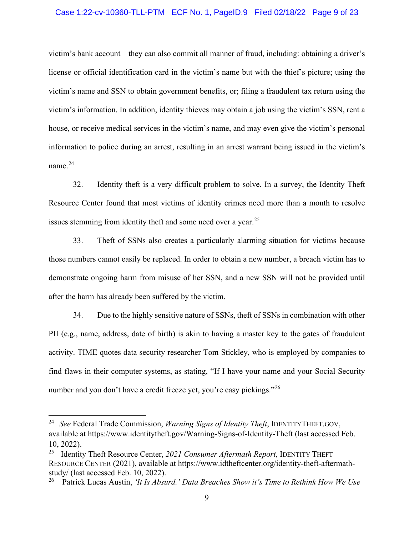## Case 1:22-cv-10360-TLL-PTM ECF No. 1, PageID.9 Filed 02/18/22 Page 9 of 23

victim's bank account—they can also commit all manner of fraud, including: obtaining a driver's license or official identification card in the victim's name but with the thief's picture; using the victim's name and SSN to obtain government benefits, or; filing a fraudulent tax return using the victim's information. In addition, identity thieves may obtain a job using the victim's SSN, rent a house, or receive medical services in the victim's name, and may even give the victim's personal information to police during an arrest, resulting in an arrest warrant being issued in the victim's name. $^{24}$  $^{24}$  $^{24}$ 

32. Identity theft is a very difficult problem to solve. In a survey, the Identity Theft Resource Center found that most victims of identity crimes need more than a month to resolve issues stemming from identity theft and some need over a year.<sup>[25](#page-8-1)</sup>

33. Theft of SSNs also creates a particularly alarming situation for victims because those numbers cannot easily be replaced. In order to obtain a new number, a breach victim has to demonstrate ongoing harm from misuse of her SSN, and a new SSN will not be provided until after the harm has already been suffered by the victim.

34. Due to the highly sensitive nature of SSNs, theft of SSNs in combination with other PII (e.g., name, address, date of birth) is akin to having a master key to the gates of fraudulent activity. TIME quotes data security researcher Tom Stickley, who is employed by companies to find flaws in their computer systems, as stating, "If I have your name and your Social Security number and you don't have a credit freeze yet, you're easy pickings."<sup>[26](#page-8-2)</sup>

<span id="page-8-0"></span><sup>24</sup>*See* Federal Trade Commission, *Warning Signs of Identity Theft*, IDENTITYTHEFT.GOV, available at https://www.identitytheft.gov/Warning-Signs-of-Identity-Theft (last accessed Feb. 10, 2022).

<span id="page-8-1"></span><sup>25</sup> Identity Theft Resource Center, *2021 Consumer Aftermath Report*, IDENTITY THEFT RESOURCE CENTER (2021), available at https://www.idtheftcenter.org/identity-theft-aftermathstudy/ (last accessed Feb. 10, 2022).

<span id="page-8-2"></span><sup>26</sup> Patrick Lucas Austin, *'It Is Absurd.' Data Breaches Show it's Time to Rethink How We Use*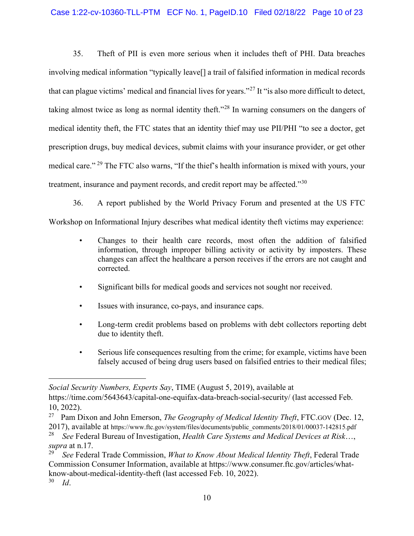# Case 1:22-cv-10360-TLL-PTM ECF No. 1, PageID.10 Filed 02/18/22 Page 10 of 23

35. Theft of PII is even more serious when it includes theft of PHI. Data breaches involving medical information "typically leave[] a trail of falsified information in medical records that can plague victims' medical and financial lives for years."[27](#page-9-0) It "is also more difficult to detect, taking almost twice as long as normal identity theft."[28](#page-9-1) In warning consumers on the dangers of medical identity theft, the FTC states that an identity thief may use PII/PHI "to see a doctor, get prescription drugs, buy medical devices, submit claims with your insurance provider, or get other medical care." [29](#page-9-2) The FTC also warns, "If the thief's health information is mixed with yours, your treatment, insurance and payment records, and credit report may be affected."<sup>[30](#page-9-3)</sup>

36. A report published by the World Privacy Forum and presented at the US FTC Workshop on Informational Injury describes what medical identity theft victims may experience:

- Changes to their health care records, most often the addition of falsified information, through improper billing activity or activity by imposters. These changes can affect the healthcare a person receives if the errors are not caught and corrected.
- Significant bills for medical goods and services not sought nor received.
- Issues with insurance, co-pays, and insurance caps.
- Long-term credit problems based on problems with debt collectors reporting debt due to identity theft.
- Serious life consequences resulting from the crime; for example, victims have been falsely accused of being drug users based on falsified entries to their medical files;

*Social Security Numbers, Experts Say*, TIME (August 5, 2019), available at

https://time.com/5643643/capital-one-equifax-data-breach-social-security/ (last accessed Feb. 10, 2022).

<span id="page-9-0"></span><sup>27</sup> Pam Dixon and John Emerson, *The Geography of Medical Identity Theft*, FTC.GOV (Dec. 12, 2017), available at https://www.ftc.gov/system/files/documents/public\_comments/2018/01/00037-142815.pdf

<span id="page-9-1"></span><sup>28</sup> *See* Federal Bureau of Investigation, *Health Care Systems and Medical Devices at Risk*…, *supra* at n.17.

<span id="page-9-3"></span><span id="page-9-2"></span><sup>29</sup> *See* Federal Trade Commission, *What to Know About Medical Identity Theft*, Federal Trade Commission Consumer Information, available at https://www.consumer.ftc.gov/articles/whatknow-about-medical-identity-theft (last accessed Feb. 10, 2022). 30 *Id*.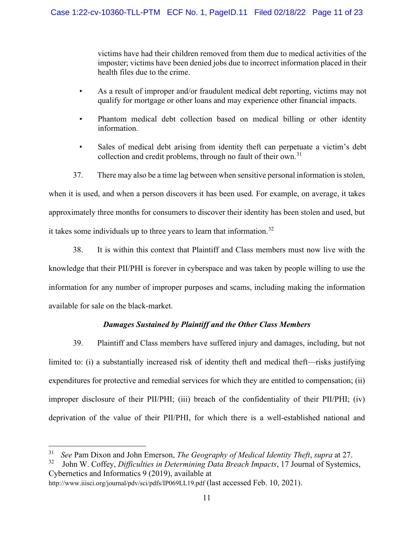victims have had their children removed from them due to medical activities of the imposter; victims have been denied jobs due to incorrect information placed in their health files due to the crime.

- As a result of improper and/or fraudulent medical debt reporting, victims may not qualify for mortgage or other loans and may experience other financial impacts.
- Phantom medical debt collection based on medical billing or other identity information.
- Sales of medical debt arising from identity theft can perpetuate a victim's debt collection and credit problems, through no fault of their own.<sup>[31](#page-10-0)</sup>
- 37. There may also be a time lag between when sensitive personal information is stolen,

when it is used, and when a person discovers it has been used. For example, on average, it takes approximately three months for consumers to discover their identity has been stolen and used, but it takes some individuals up to three years to learn that information.<sup>[32](#page-10-1)</sup>

38. It is within this context that Plaintiff and Class members must now live with the knowledge that their PII/PHI is forever in cyberspace and was taken by people willing to use the information for any number of improper purposes and scams, including making the information available for sale on the black-market.

# *Damages Sustained by Plaintiff and the Other Class Members*

39. Plaintiff and Class members have suffered injury and damages, including, but not limited to: (i) a substantially increased risk of identity theft and medical theft—risks justifying expenditures for protective and remedial services for which they are entitled to compensation; (ii) improper disclosure of their PII/PHI; (iii) breach of the confidentiality of their PII/PHI; (iv) deprivation of the value of their PII/PHI, for which there is a well-established national and

<span id="page-10-1"></span><sup>32</sup> John W. Coffey, *Difficulties in Determining Data Breach Impacts*, 17 Journal of Systemics, Cybernetics and Informatics 9 (2019), available at

<span id="page-10-0"></span><sup>31</sup> *See* Pam Dixon and John Emerson, *The Geography of Medical Identity Theft*, *supra* at 27.

http://www.iiisci.org/journal/pdv/sci/pdfs/IP069LL19.pdf (last accessed Feb. 10, 2021).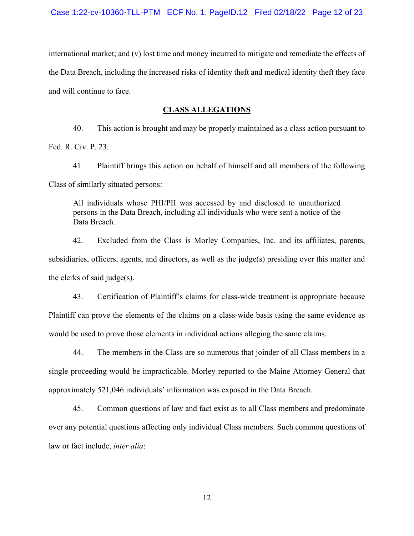international market; and (v) lost time and money incurred to mitigate and remediate the effects of the Data Breach, including the increased risks of identity theft and medical identity theft they face and will continue to face.

# **CLASS ALLEGATIONS**

40. This action is brought and may be properly maintained as a class action pursuant to Fed. R. Civ. P. 23.

41. Plaintiff brings this action on behalf of himself and all members of the following Class of similarly situated persons:

All individuals whose PHI/PII was accessed by and disclosed to unauthorized persons in the Data Breach, including all individuals who were sent a notice of the Data Breach.

42. Excluded from the Class is Morley Companies, Inc. and its affiliates, parents, subsidiaries, officers, agents, and directors, as well as the judge(s) presiding over this matter and the clerks of said judge(s).

43. Certification of Plaintiff's claims for class-wide treatment is appropriate because Plaintiff can prove the elements of the claims on a class-wide basis using the same evidence as would be used to prove those elements in individual actions alleging the same claims.

44. The members in the Class are so numerous that joinder of all Class members in a single proceeding would be impracticable. Morley reported to the Maine Attorney General that approximately 521,046 individuals' information was exposed in the Data Breach.

45. Common questions of law and fact exist as to all Class members and predominate over any potential questions affecting only individual Class members. Such common questions of law or fact include, *inter alia*: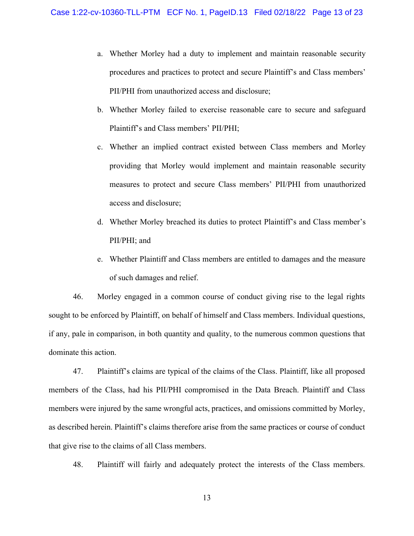- a. Whether Morley had a duty to implement and maintain reasonable security procedures and practices to protect and secure Plaintiff's and Class members' PII/PHI from unauthorized access and disclosure;
- b. Whether Morley failed to exercise reasonable care to secure and safeguard Plaintiff's and Class members' PII/PHI;
- c. Whether an implied contract existed between Class members and Morley providing that Morley would implement and maintain reasonable security measures to protect and secure Class members' PII/PHI from unauthorized access and disclosure;
- d. Whether Morley breached its duties to protect Plaintiff's and Class member's PII/PHI; and
- e. Whether Plaintiff and Class members are entitled to damages and the measure of such damages and relief.

46. Morley engaged in a common course of conduct giving rise to the legal rights sought to be enforced by Plaintiff, on behalf of himself and Class members. Individual questions, if any, pale in comparison, in both quantity and quality, to the numerous common questions that dominate this action.

47. Plaintiff's claims are typical of the claims of the Class. Plaintiff, like all proposed members of the Class, had his PII/PHI compromised in the Data Breach. Plaintiff and Class members were injured by the same wrongful acts, practices, and omissions committed by Morley, as described herein. Plaintiff's claims therefore arise from the same practices or course of conduct that give rise to the claims of all Class members.

48. Plaintiff will fairly and adequately protect the interests of the Class members.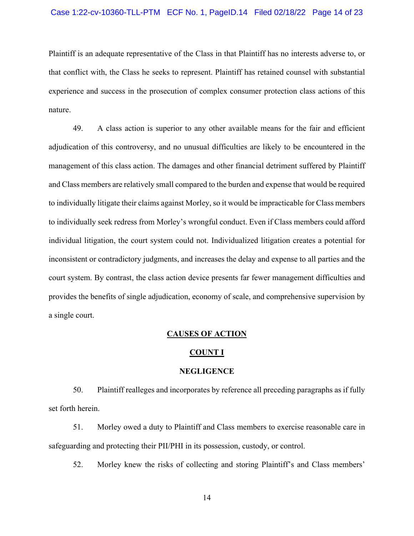## Case 1:22-cv-10360-TLL-PTM ECF No. 1, PageID.14 Filed 02/18/22 Page 14 of 23

Plaintiff is an adequate representative of the Class in that Plaintiff has no interests adverse to, or that conflict with, the Class he seeks to represent. Plaintiff has retained counsel with substantial experience and success in the prosecution of complex consumer protection class actions of this nature.

49. A class action is superior to any other available means for the fair and efficient adjudication of this controversy, and no unusual difficulties are likely to be encountered in the management of this class action. The damages and other financial detriment suffered by Plaintiff and Class members are relatively small compared to the burden and expense that would be required to individually litigate their claims against Morley, so it would be impracticable for Class members to individually seek redress from Morley's wrongful conduct. Even if Class members could afford individual litigation, the court system could not. Individualized litigation creates a potential for inconsistent or contradictory judgments, and increases the delay and expense to all parties and the court system. By contrast, the class action device presents far fewer management difficulties and provides the benefits of single adjudication, economy of scale, and comprehensive supervision by a single court.

#### **CAUSES OF ACTION**

#### **COUNT I**

#### **NEGLIGENCE**

50. Plaintiff realleges and incorporates by reference all preceding paragraphs as if fully set forth herein.

51. Morley owed a duty to Plaintiff and Class members to exercise reasonable care in safeguarding and protecting their PII/PHI in its possession, custody, or control.

52. Morley knew the risks of collecting and storing Plaintiff's and Class members'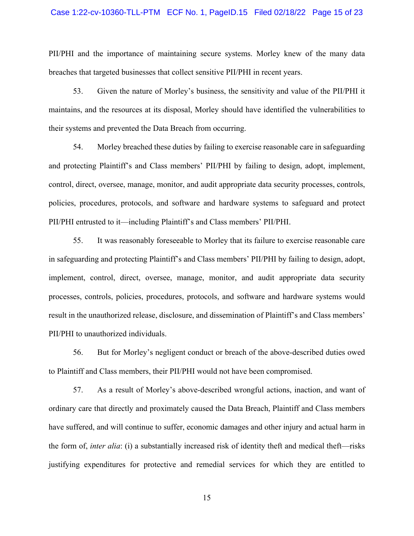#### Case 1:22-cv-10360-TLL-PTM ECF No. 1, PageID.15 Filed 02/18/22 Page 15 of 23

PII/PHI and the importance of maintaining secure systems. Morley knew of the many data breaches that targeted businesses that collect sensitive PII/PHI in recent years.

53. Given the nature of Morley's business, the sensitivity and value of the PII/PHI it maintains, and the resources at its disposal, Morley should have identified the vulnerabilities to their systems and prevented the Data Breach from occurring.

54. Morley breached these duties by failing to exercise reasonable care in safeguarding and protecting Plaintiff's and Class members' PII/PHI by failing to design, adopt, implement, control, direct, oversee, manage, monitor, and audit appropriate data security processes, controls, policies, procedures, protocols, and software and hardware systems to safeguard and protect PII/PHI entrusted to it—including Plaintiff's and Class members' PII/PHI.

55. It was reasonably foreseeable to Morley that its failure to exercise reasonable care in safeguarding and protecting Plaintiff's and Class members' PII/PHI by failing to design, adopt, implement, control, direct, oversee, manage, monitor, and audit appropriate data security processes, controls, policies, procedures, protocols, and software and hardware systems would result in the unauthorized release, disclosure, and dissemination of Plaintiff's and Class members' PII/PHI to unauthorized individuals.

56. But for Morley's negligent conduct or breach of the above-described duties owed to Plaintiff and Class members, their PII/PHI would not have been compromised.

57. As a result of Morley's above-described wrongful actions, inaction, and want of ordinary care that directly and proximately caused the Data Breach, Plaintiff and Class members have suffered, and will continue to suffer, economic damages and other injury and actual harm in the form of, *inter alia*: (i) a substantially increased risk of identity theft and medical theft—risks justifying expenditures for protective and remedial services for which they are entitled to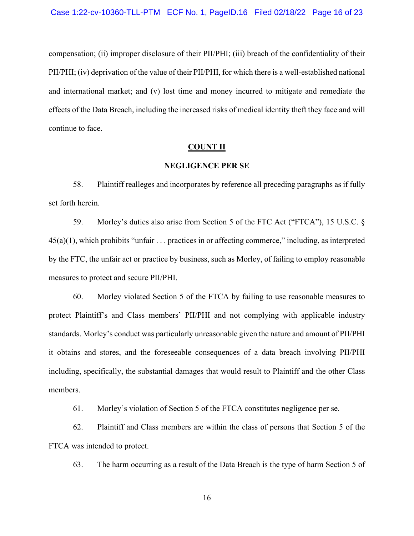compensation; (ii) improper disclosure of their PII/PHI; (iii) breach of the confidentiality of their PII/PHI; (iv) deprivation of the value of their PII/PHI, for which there is a well-established national and international market; and (v) lost time and money incurred to mitigate and remediate the effects of the Data Breach, including the increased risks of medical identity theft they face and will continue to face.

## **COUNT II**

#### **NEGLIGENCE PER SE**

58. Plaintiff realleges and incorporates by reference all preceding paragraphs as if fully set forth herein.

59. Morley's duties also arise from Section 5 of the FTC Act ("FTCA"), 15 U.S.C. §  $45(a)(1)$ , which prohibits "unfair . . . practices in or affecting commerce," including, as interpreted by the FTC, the unfair act or practice by business, such as Morley, of failing to employ reasonable measures to protect and secure PII/PHI.

60. Morley violated Section 5 of the FTCA by failing to use reasonable measures to protect Plaintiff's and Class members' PII/PHI and not complying with applicable industry standards. Morley's conduct was particularly unreasonable given the nature and amount of PII/PHI it obtains and stores, and the foreseeable consequences of a data breach involving PII/PHI including, specifically, the substantial damages that would result to Plaintiff and the other Class members.

61. Morley's violation of Section 5 of the FTCA constitutes negligence per se.

62. Plaintiff and Class members are within the class of persons that Section 5 of the FTCA was intended to protect.

63. The harm occurring as a result of the Data Breach is the type of harm Section 5 of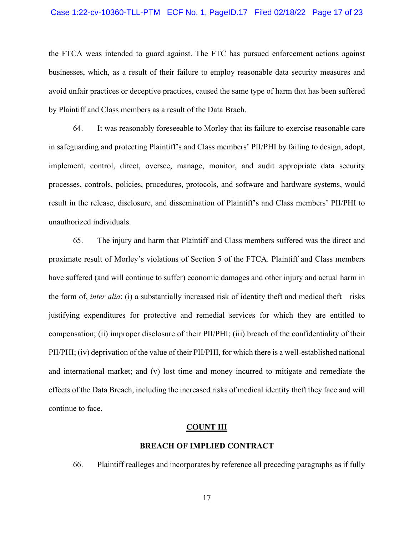#### Case 1:22-cv-10360-TLL-PTM ECF No. 1, PageID.17 Filed 02/18/22 Page 17 of 23

the FTCA weas intended to guard against. The FTC has pursued enforcement actions against businesses, which, as a result of their failure to employ reasonable data security measures and avoid unfair practices or deceptive practices, caused the same type of harm that has been suffered by Plaintiff and Class members as a result of the Data Brach.

64. It was reasonably foreseeable to Morley that its failure to exercise reasonable care in safeguarding and protecting Plaintiff's and Class members' PII/PHI by failing to design, adopt, implement, control, direct, oversee, manage, monitor, and audit appropriate data security processes, controls, policies, procedures, protocols, and software and hardware systems, would result in the release, disclosure, and dissemination of Plaintiff's and Class members' PII/PHI to unauthorized individuals.

65. The injury and harm that Plaintiff and Class members suffered was the direct and proximate result of Morley's violations of Section 5 of the FTCA. Plaintiff and Class members have suffered (and will continue to suffer) economic damages and other injury and actual harm in the form of, *inter alia*: (i) a substantially increased risk of identity theft and medical theft—risks justifying expenditures for protective and remedial services for which they are entitled to compensation; (ii) improper disclosure of their PII/PHI; (iii) breach of the confidentiality of their PII/PHI; (iv) deprivation of the value of their PII/PHI, for which there is a well-established national and international market; and (v) lost time and money incurred to mitigate and remediate the effects of the Data Breach, including the increased risks of medical identity theft they face and will continue to face.

#### **COUNT III**

# **BREACH OF IMPLIED CONTRACT**

66. Plaintiff realleges and incorporates by reference all preceding paragraphs as if fully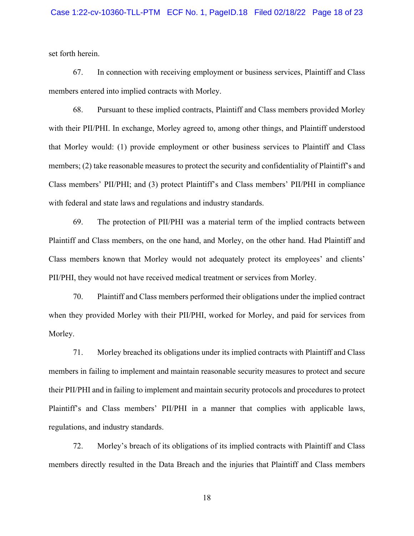## Case 1:22-cv-10360-TLL-PTM ECF No. 1, PageID.18 Filed 02/18/22 Page 18 of 23

set forth herein.

67. In connection with receiving employment or business services, Plaintiff and Class members entered into implied contracts with Morley.

68. Pursuant to these implied contracts, Plaintiff and Class members provided Morley with their PII/PHI. In exchange, Morley agreed to, among other things, and Plaintiff understood that Morley would: (1) provide employment or other business services to Plaintiff and Class members; (2) take reasonable measures to protect the security and confidentiality of Plaintiff's and Class members' PII/PHI; and (3) protect Plaintiff's and Class members' PII/PHI in compliance with federal and state laws and regulations and industry standards.

69. The protection of PII/PHI was a material term of the implied contracts between Plaintiff and Class members, on the one hand, and Morley, on the other hand. Had Plaintiff and Class members known that Morley would not adequately protect its employees' and clients' PII/PHI, they would not have received medical treatment or services from Morley.

70. Plaintiff and Class members performed their obligations under the implied contract when they provided Morley with their PII/PHI, worked for Morley, and paid for services from Morley.

71. Morley breached its obligations under its implied contracts with Plaintiff and Class members in failing to implement and maintain reasonable security measures to protect and secure their PII/PHI and in failing to implement and maintain security protocols and procedures to protect Plaintiff's and Class members' PII/PHI in a manner that complies with applicable laws, regulations, and industry standards.

72. Morley's breach of its obligations of its implied contracts with Plaintiff and Class members directly resulted in the Data Breach and the injuries that Plaintiff and Class members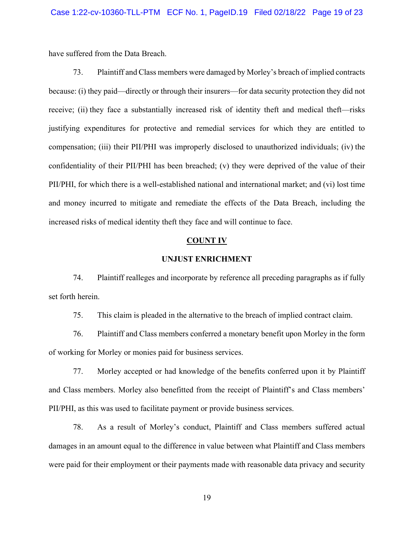have suffered from the Data Breach.

73. Plaintiff and Class members were damaged by Morley's breach of implied contracts because: (i) they paid—directly or through their insurers—for data security protection they did not receive; (ii) they face a substantially increased risk of identity theft and medical theft—risks justifying expenditures for protective and remedial services for which they are entitled to compensation; (iii) their PII/PHI was improperly disclosed to unauthorized individuals; (iv) the confidentiality of their PII/PHI has been breached; (v) they were deprived of the value of their PII/PHI, for which there is a well-established national and international market; and (vi) lost time and money incurred to mitigate and remediate the effects of the Data Breach, including the increased risks of medical identity theft they face and will continue to face.

#### **COUNT IV**

## **UNJUST ENRICHMENT**

74. Plaintiff realleges and incorporate by reference all preceding paragraphs as if fully set forth herein.

75. This claim is pleaded in the alternative to the breach of implied contract claim.

76. Plaintiff and Class members conferred a monetary benefit upon Morley in the form of working for Morley or monies paid for business services.

77. Morley accepted or had knowledge of the benefits conferred upon it by Plaintiff and Class members. Morley also benefitted from the receipt of Plaintiff's and Class members' PII/PHI, as this was used to facilitate payment or provide business services.

78. As a result of Morley's conduct, Plaintiff and Class members suffered actual damages in an amount equal to the difference in value between what Plaintiff and Class members were paid for their employment or their payments made with reasonable data privacy and security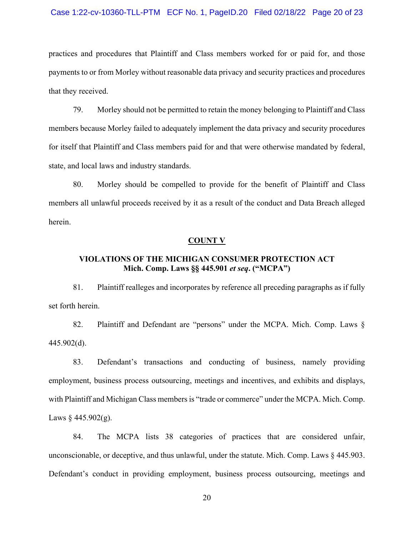#### Case 1:22-cv-10360-TLL-PTM ECF No. 1, PageID.20 Filed 02/18/22 Page 20 of 23

practices and procedures that Plaintiff and Class members worked for or paid for, and those payments to or from Morley without reasonable data privacy and security practices and procedures that they received.

79. Morley should not be permitted to retain the money belonging to Plaintiff and Class members because Morley failed to adequately implement the data privacy and security procedures for itself that Plaintiff and Class members paid for and that were otherwise mandated by federal, state, and local laws and industry standards.

80. Morley should be compelled to provide for the benefit of Plaintiff and Class members all unlawful proceeds received by it as a result of the conduct and Data Breach alleged herein.

#### **COUNT V**

# **VIOLATIONS OF THE MICHIGAN CONSUMER PROTECTION ACT Mich. Comp. Laws §§ 445.901** *et seq***. ("MCPA")**

81. Plaintiff realleges and incorporates by reference all preceding paragraphs as if fully set forth herein.

82. Plaintiff and Defendant are "persons" under the MCPA. Mich. Comp. Laws § 445.902(d).

83. Defendant's transactions and conducting of business, namely providing employment, business process outsourcing, meetings and incentives, and exhibits and displays, with Plaintiff and Michigan Class members is "trade or commerce" under the MCPA. Mich. Comp. Laws  $\frac{245.902(g)}{g}$ .

84. The MCPA lists 38 categories of practices that are considered unfair, unconscionable, or deceptive, and thus unlawful, under the statute. Mich. Comp. Laws  $\&$  445.903. Defendant's conduct in providing employment, business process outsourcing, meetings and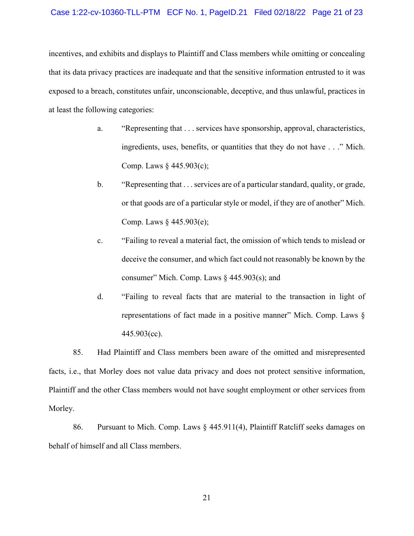## Case 1:22-cv-10360-TLL-PTM ECF No. 1, PageID.21 Filed 02/18/22 Page 21 of 23

incentives, and exhibits and displays to Plaintiff and Class members while omitting or concealing that its data privacy practices are inadequate and that the sensitive information entrusted to it was exposed to a breach, constitutes unfair, unconscionable, deceptive, and thus unlawful, practices in at least the following categories:

- a. "Representing that . . . services have sponsorship, approval, characteristics, ingredients, uses, benefits, or quantities that they do not have . . ." Mich. Comp. Laws § 445.903(c);
- b. "Representing that . . . services are of a particular standard, quality, or grade, or that goods are of a particular style or model, if they are of another" Mich. Comp. Laws § 445.903(e);
- c. "Failing to reveal a material fact, the omission of which tends to mislead or deceive the consumer, and which fact could not reasonably be known by the consumer" Mich. Comp. Laws § 445.903(s); and
- d. "Failing to reveal facts that are material to the transaction in light of representations of fact made in a positive manner" Mich. Comp. Laws § 445.903(cc).

85. Had Plaintiff and Class members been aware of the omitted and misrepresented facts, i.e., that Morley does not value data privacy and does not protect sensitive information, Plaintiff and the other Class members would not have sought employment or other services from Morley.

86. Pursuant to Mich. Comp. Laws § 445.911(4), Plaintiff Ratcliff seeks damages on behalf of himself and all Class members.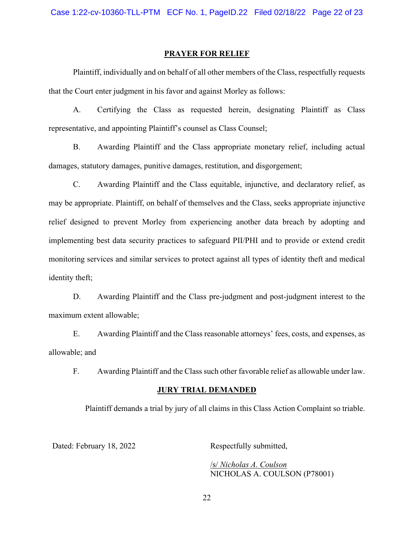#### **PRAYER FOR RELIEF**

Plaintiff, individually and on behalf of all other members of the Class, respectfully requests that the Court enter judgment in his favor and against Morley as follows:

A. Certifying the Class as requested herein, designating Plaintiff as Class representative, and appointing Plaintiff's counsel as Class Counsel;

B. Awarding Plaintiff and the Class appropriate monetary relief, including actual damages, statutory damages, punitive damages, restitution, and disgorgement;

C. Awarding Plaintiff and the Class equitable, injunctive, and declaratory relief, as may be appropriate. Plaintiff, on behalf of themselves and the Class, seeks appropriate injunctive relief designed to prevent Morley from experiencing another data breach by adopting and implementing best data security practices to safeguard PII/PHI and to provide or extend credit monitoring services and similar services to protect against all types of identity theft and medical identity theft;

D. Awarding Plaintiff and the Class pre-judgment and post-judgment interest to the maximum extent allowable;

E. Awarding Plaintiff and the Class reasonable attorneys' fees, costs, and expenses, as allowable; and

F. Awarding Plaintiff and the Class such other favorable relief as allowable under law.

#### **JURY TRIAL DEMANDED**

Plaintiff demands a trial by jury of all claims in this Class Action Complaint so triable.

Dated: February 18, 2022 Respectfully submitted,

/s/ *Nicholas A. Coulson* NICHOLAS A. COULSON (P78001)